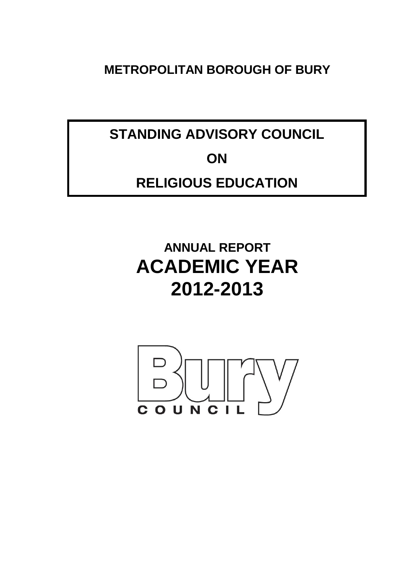**METROPOLITAN BOROUGH OF BURY**

**STANDING ADVISORY COUNCIL ON**

# **RELIGIOUS EDUCATION**

# **ANNUAL REPORT ACADEMIC YEAR 2012-2013**

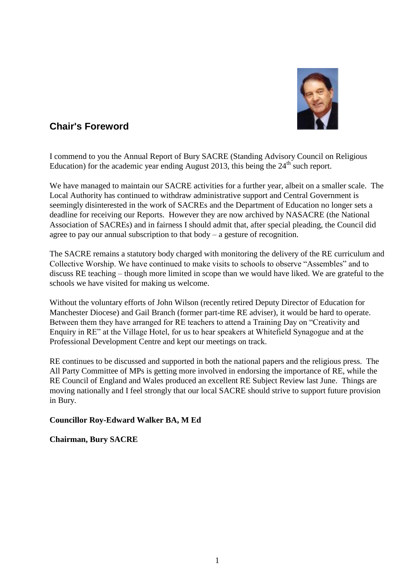

## **Chair's Foreword**

I commend to you the Annual Report of Bury SACRE (Standing Advisory Council on Religious Education) for the academic year ending August 2013, this being the  $24<sup>th</sup>$  such report.

We have managed to maintain our SACRE activities for a further year, albeit on a smaller scale. The Local Authority has continued to withdraw administrative support and Central Government is seemingly disinterested in the work of SACREs and the Department of Education no longer sets a deadline for receiving our Reports. However they are now archived by NASACRE (the National Association of SACREs) and in fairness I should admit that, after special pleading, the Council did agree to pay our annual subscription to that body – a gesture of recognition.

The SACRE remains a statutory body charged with monitoring the delivery of the RE curriculum and Collective Worship. We have continued to make visits to schools to observe "Assembles" and to discuss RE teaching – though more limited in scope than we would have liked. We are grateful to the schools we have visited for making us welcome.

Without the voluntary efforts of John Wilson (recently retired Deputy Director of Education for Manchester Diocese) and Gail Branch (former part-time RE adviser), it would be hard to operate. Between them they have arranged for RE teachers to attend a Training Day on "Creativity and Enquiry in RE" at the Village Hotel, for us to hear speakers at Whitefield Synagogue and at the Professional Development Centre and kept our meetings on track.

RE continues to be discussed and supported in both the national papers and the religious press. The All Party Committee of MPs is getting more involved in endorsing the importance of RE, while the RE Council of England and Wales produced an excellent RE Subject Review last June. Things are moving nationally and I feel strongly that our local SACRE should strive to support future provision in Bury.

## **Councillor Roy-Edward Walker BA, M Ed**

## **Chairman, Bury SACRE**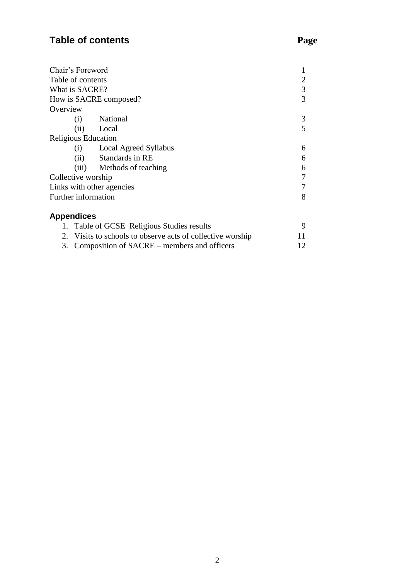## **Table of contents Page**

| Chair's Foreword           |                                                            |   |
|----------------------------|------------------------------------------------------------|---|
| Table of contents          |                                                            | 2 |
| What is SACRE?             |                                                            | 3 |
|                            | How is SACRE composed?                                     | 3 |
| Overview                   |                                                            |   |
| $\left( 1\right)$          | National                                                   | 3 |
| (ii)                       | Local                                                      | 5 |
| <b>Religious Education</b> |                                                            |   |
|                            | (i) Local Agreed Syllabus                                  | 6 |
| (ii)                       | Standards in RE                                            | 6 |
|                            | (iii) Methods of teaching                                  | 6 |
| Collective worship         |                                                            | 7 |
|                            | Links with other agencies                                  | 7 |
| <b>Further information</b> |                                                            | 8 |
| <b>Appendices</b>          |                                                            |   |
|                            | 1. Table of GCSE Religious Studies results                 | 9 |
|                            | 2. Visits to schools to observe acts of collective worship |   |

| 3. Composition of SACRE – members and officers |  |
|------------------------------------------------|--|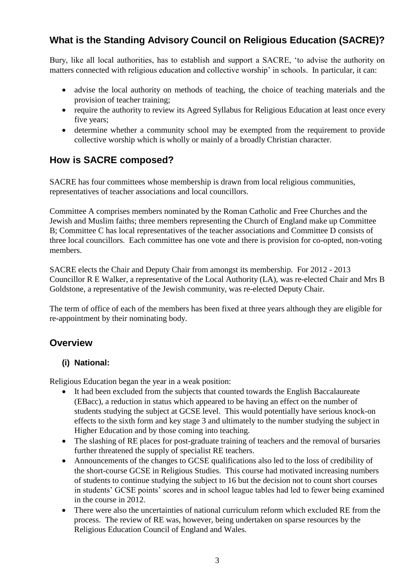## **What is the Standing Advisory Council on Religious Education (SACRE)?**

Bury, like all local authorities, has to establish and support a SACRE, 'to advise the authority on matters connected with religious education and collective worship' in schools. In particular, it can:

- advise the local authority on methods of teaching, the choice of teaching materials and the provision of teacher training;
- require the authority to review its Agreed Syllabus for Religious Education at least once every five years;
- determine whether a community school may be exempted from the requirement to provide collective worship which is wholly or mainly of a broadly Christian character.

## **How is SACRE composed?**

SACRE has four committees whose membership is drawn from local religious communities, representatives of teacher associations and local councillors.

Committee A comprises members nominated by the Roman Catholic and Free Churches and the Jewish and Muslim faiths; three members representing the Church of England make up Committee B; Committee C has local representatives of the teacher associations and Committee D consists of three local councillors. Each committee has one vote and there is provision for co-opted, non-voting members.

SACRE elects the Chair and Deputy Chair from amongst its membership. For 2012 - 2013 Councillor R E Walker, a representative of the Local Authority (LA), was re-elected Chair and Mrs B Goldstone, a representative of the Jewish community, was re-elected Deputy Chair.

The term of office of each of the members has been fixed at three years although they are eligible for re-appointment by their nominating body.

## **Overview**

## **(i) National:**

Religious Education began the year in a weak position:

- It had been excluded from the subjects that counted towards the English Baccalaureate (EBacc), a reduction in status which appeared to be having an effect on the number of students studying the subject at GCSE level. This would potentially have serious knock-on effects to the sixth form and key stage 3 and ultimately to the number studying the subject in Higher Education and by those coming into teaching.
- The slashing of RE places for post-graduate training of teachers and the removal of bursaries further threatened the supply of specialist RE teachers.
- Announcements of the changes to GCSE qualifications also led to the loss of credibility of the short-course GCSE in Religious Studies. This course had motivated increasing numbers of students to continue studying the subject to 16 but the decision not to count short courses in students' GCSE points' scores and in school league tables had led to fewer being examined in the course in 2012.
- There were also the uncertainties of national curriculum reform which excluded RE from the process. The review of RE was, however, being undertaken on sparse resources by the Religious Education Council of England and Wales.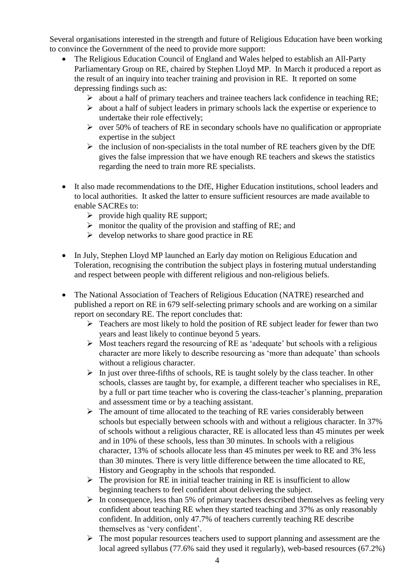Several organisations interested in the strength and future of Religious Education have been working to convince the Government of the need to provide more support:

- The Religious Education Council of England and Wales helped to establish an All-Party Parliamentary Group on RE, chaired by Stephen Lloyd MP. In March it produced a report as the result of an inquiry into teacher training and provision in RE. It reported on some depressing findings such as:
	- $\triangleright$  about a half of primary teachers and trainee teachers lack confidence in teaching RE;
	- $\triangleright$  about a half of subject leaders in primary schools lack the expertise or experience to undertake their role effectively;
	- $\triangleright$  over 50% of teachers of RE in secondary schools have no qualification or appropriate expertise in the subject
	- $\triangleright$  the inclusion of non-specialists in the total number of RE teachers given by the DfE gives the false impression that we have enough RE teachers and skews the statistics regarding the need to train more RE specialists.
- It also made recommendations to the DfE, Higher Education institutions, school leaders and to local authorities. It asked the latter to ensure sufficient resources are made available to enable SACREs to:
	- $\triangleright$  provide high quality RE support;
	- $\triangleright$  monitor the quality of the provision and staffing of RE; and
	- $\triangleright$  develop networks to share good practice in RE
- In July, Stephen Lloyd MP launched an Early day motion on Religious Education and Toleration, recognising the contribution the subject plays in fostering mutual understanding and respect between people with different religious and non-religious beliefs.
- The National Association of Teachers of Religious Education (NATRE) researched and published a report on RE in 679 self-selecting primary schools and are working on a similar report on secondary RE. The report concludes that:
	- $\triangleright$  Teachers are most likely to hold the position of RE subject leader for fewer than two years and least likely to continue beyond 5 years.
	- $\triangleright$  Most teachers regard the resourcing of RE as 'adequate' but schools with a religious character are more likely to describe resourcing as 'more than adequate' than schools without a religious character.
	- $\triangleright$  In just over three-fifths of schools, RE is taught solely by the class teacher. In other schools, classes are taught by, for example, a different teacher who specialises in RE, by a full or part time teacher who is covering the class-teacher's planning, preparation and assessment time or by a teaching assistant.
	- $\triangleright$  The amount of time allocated to the teaching of RE varies considerably between schools but especially between schools with and without a religious character. In 37% of schools without a religious character, RE is allocated less than 45 minutes per week and in 10% of these schools, less than 30 minutes. In schools with a religious character, 13% of schools allocate less than 45 minutes per week to RE and 3% less than 30 minutes. There is very little difference between the time allocated to RE, History and Geography in the schools that responded.
	- $\triangleright$  The provision for RE in initial teacher training in RE is insufficient to allow beginning teachers to feel confident about delivering the subject.
	- $\triangleright$  In consequence, less than 5% of primary teachers described themselves as feeling very confident about teaching RE when they started teaching and 37% as only reasonably confident. In addition, only 47.7% of teachers currently teaching RE describe themselves as 'very confident'.
	- $\triangleright$  The most popular resources teachers used to support planning and assessment are the local agreed syllabus (77.6% said they used it regularly), web-based resources (67.2%)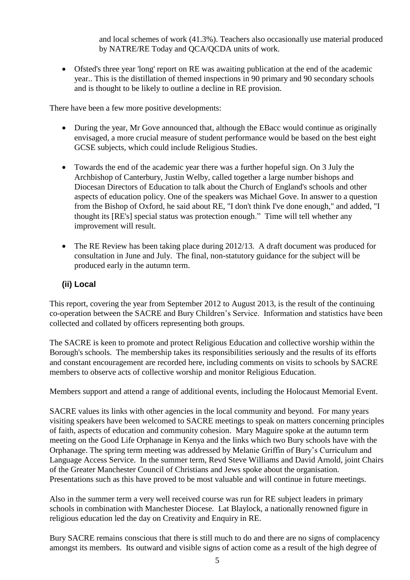and local schemes of work (41.3%). Teachers also occasionally use material produced by NATRE/RE Today and QCA/QCDA units of work.

 Ofsted's three year 'long' report on RE was awaiting publication at the end of the academic year.. This is the distillation of themed inspections in 90 primary and 90 secondary schools and is thought to be likely to outline a decline in RE provision.

There have been a few more positive developments:

- During the year, Mr Gove announced that, although the EBacc would continue as originally envisaged, a more crucial measure of student performance would be based on the best eight GCSE subjects, which could include Religious Studies.
- Towards the end of the academic year there was a further hopeful sign. On 3 July the Archbishop of Canterbury, Justin Welby, called together a large number bishops and Diocesan Directors of Education to talk about the Church of England's schools and other aspects of education policy. One of the speakers was Michael Gove. In answer to a question from the Bishop of Oxford, he said about RE, "I don't think I've done enough," and added, "I thought its [RE's] special status was protection enough." Time will tell whether any improvement will result.
- The RE Review has been taking place during 2012/13. A draft document was produced for consultation in June and July. The final, non-statutory guidance for the subject will be produced early in the autumn term.

## **(ii) Local**

This report, covering the year from September 2012 to August 2013, is the result of the continuing co-operation between the SACRE and Bury Children's Service. Information and statistics have been collected and collated by officers representing both groups.

The SACRE is keen to promote and protect Religious Education and collective worship within the Borough's schools. The membership takes its responsibilities seriously and the results of its efforts and constant encouragement are recorded here, including comments on visits to schools by SACRE members to observe acts of collective worship and monitor Religious Education.

Members support and attend a range of additional events, including the Holocaust Memorial Event.

SACRE values its links with other agencies in the local community and beyond. For many years visiting speakers have been welcomed to SACRE meetings to speak on matters concerning principles of faith, aspects of education and community cohesion. Mary Maguire spoke at the autumn term meeting on the Good Life Orphanage in Kenya and the links which two Bury schools have with the Orphanage. The spring term meeting was addressed by Melanie Griffin of Bury's Curriculum and Language Access Service. In the summer term, Revd Steve Williams and David Arnold, joint Chairs of the Greater Manchester Council of Christians and Jews spoke about the organisation. Presentations such as this have proved to be most valuable and will continue in future meetings.

Also in the summer term a very well received course was run for RE subject leaders in primary schools in combination with Manchester Diocese. Lat Blaylock, a nationally renowned figure in religious education led the day on Creativity and Enquiry in RE.

Bury SACRE remains conscious that there is still much to do and there are no signs of complacency amongst its members. Its outward and visible signs of action come as a result of the high degree of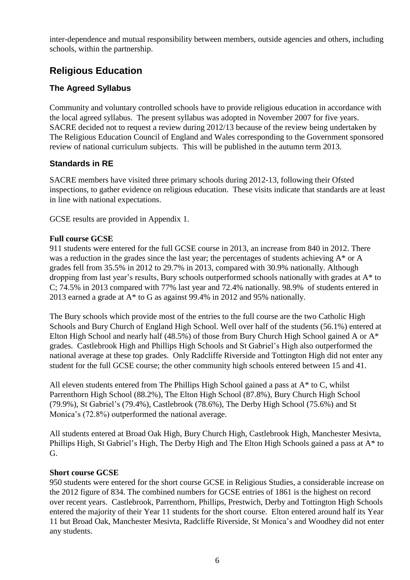inter-dependence and mutual responsibility between members, outside agencies and others, including schools, within the partnership.

## **Religious Education**

## **The Agreed Syllabus**

Community and voluntary controlled schools have to provide religious education in accordance with the local agreed syllabus. The present syllabus was adopted in November 2007 for five years. SACRE decided not to request a review during 2012/13 because of the review being undertaken by The Religious Education Council of England and Wales corresponding to the Government sponsored review of national curriculum subjects. This will be published in the autumn term 2013.

## **Standards in RE**

SACRE members have visited three primary schools during 2012-13, following their Ofsted inspections, to gather evidence on religious education. These visits indicate that standards are at least in line with national expectations.

GCSE results are provided in Appendix 1.

## **Full course GCSE**

911 students were entered for the full GCSE course in 2013, an increase from 840 in 2012. There was a reduction in the grades since the last year; the percentages of students achieving A\* or A grades fell from 35.5% in 2012 to 29.7% in 2013, compared with 30.9% nationally. Although dropping from last year's results, Bury schools outperformed schools nationally with grades at A\* to C; 74.5% in 2013 compared with 77% last year and 72.4% nationally. 98.9% of students entered in 2013 earned a grade at A\* to G as against 99.4% in 2012 and 95% nationally.

The Bury schools which provide most of the entries to the full course are the two Catholic High Schools and Bury Church of England High School. Well over half of the students (56.1%) entered at Elton High School and nearly half (48.5%) of those from Bury Church High School gained A or A\* grades. Castlebrook High and Phillips High Schools and St Gabriel's High also outperformed the national average at these top grades. Only Radcliffe Riverside and Tottington High did not enter any student for the full GCSE course; the other community high schools entered between 15 and 41.

All eleven students entered from The Phillips High School gained a pass at A\* to C, whilst Parrenthorn High School (88.2%), The Elton High School (87.8%), Bury Church High School (79.9%), St Gabriel's (79.4%), Castlebrook (78.6%), The Derby High School (75.6%) and St Monica's (72.8%) outperformed the national average.

All students entered at Broad Oak High, Bury Church High, Castlebrook High, Manchester Mesivta, Phillips High, St Gabriel's High, The Derby High and The Elton High Schools gained a pass at A\* to G.

## **Short course GCSE**

950 students were entered for the short course GCSE in Religious Studies, a considerable increase on the 2012 figure of 834. The combined numbers for GCSE entries of 1861 is the highest on record over recent years. Castlebrook, Parrenthorn, Phillips, Prestwich, Derby and Tottington High Schools entered the majority of their Year 11 students for the short course. Elton entered around half its Year 11 but Broad Oak, Manchester Mesivta, Radcliffe Riverside, St Monica's and Woodhey did not enter any students.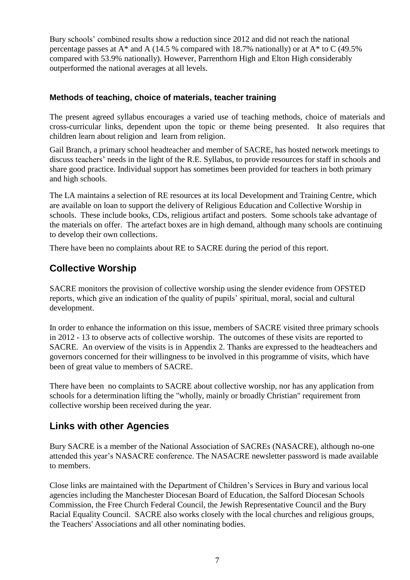Bury schools' combined results show a reduction since 2012 and did not reach the national percentage passes at A\* and A (14.5 % compared with 18.7% nationally) or at A\* to C (49.5% compared with 53.9% nationally). However, Parrenthorn High and Elton High considerably outperformed the national averages at all levels.

## **Methods of teaching, choice of materials, teacher training**

The present agreed syllabus encourages a varied use of teaching methods, choice of materials and cross-curricular links, dependent upon the topic or theme being presented. It also requires that children learn about religion and learn from religion.

Gail Branch, a primary school headteacher and member of SACRE, has hosted network meetings to discuss teachers' needs in the light of the R.E. Syllabus, to provide resources for staff in schools and share good practice. Individual support has sometimes been provided for teachers in both primary and high schools.

The LA maintains a selection of RE resources at its local Development and Training Centre, which are available on loan to support the delivery of Religious Education and Collective Worship in schools. These include books, CDs, religious artifact and posters. Some schools take advantage of the materials on offer. The artefact boxes are in high demand, although many schools are continuing to develop their own collections.

There have been no complaints about RE to SACRE during the period of this report.

## **Collective Worship**

SACRE monitors the provision of collective worship using the slender evidence from OFSTED reports, which give an indication of the quality of pupils' spiritual, moral, social and cultural development.

In order to enhance the information on this issue, members of SACRE visited three primary schools in 2012 - 13 to observe acts of collective worship. The outcomes of these visits are reported to SACRE. An overview of the visits is in Appendix 2. Thanks are expressed to the headteachers and governors concerned for their willingness to be involved in this programme of visits, which have been of great value to members of SACRE.

There have been no complaints to SACRE about collective worship, nor has any application from schools for a determination lifting the "wholly, mainly or broadly Christian" requirement from collective worship been received during the year.

## **Links with other Agencies**

Bury SACRE is a member of the National Association of SACREs (NASACRE), although no-one attended this year's NASACRE conference. The NASACRE newsletter password is made available to members.

Close links are maintained with the Department of Children's Services in Bury and various local agencies including the Manchester Diocesan Board of Education, the Salford Diocesan Schools Commission, the Free Church Federal Council, the Jewish Representative Council and the Bury Racial Equality Council. SACRE also works closely with the local churches and religious groups, the Teachers' Associations and all other nominating bodies.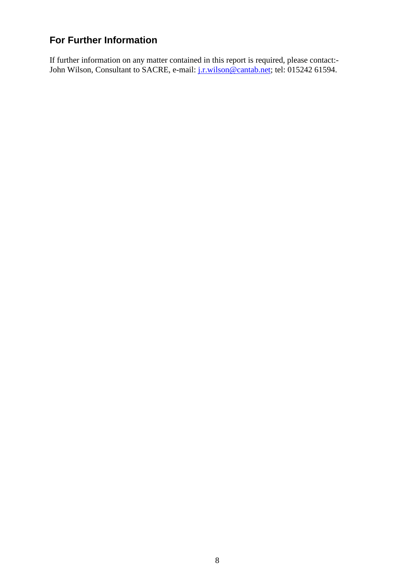## **For Further Information**

If further information on any matter contained in this report is required, please contact: John Wilson, Consultant to SACRE, e-mail: [j.r.wilson@cantab.net;](mailto:j.r.wilson@cantab.net) [tel:](Tel:015242) 015242 61594.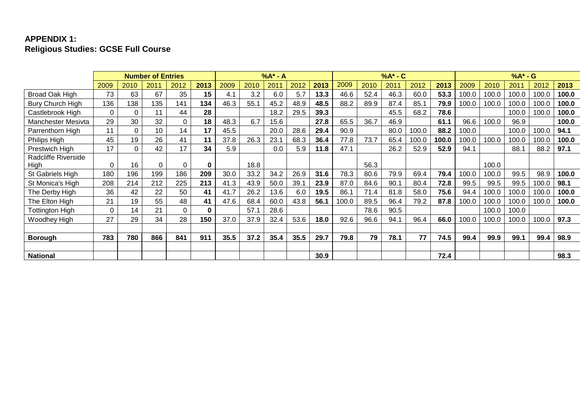## **APPENDIX 1: Religious Studies: GCSE Full Course**

|                     | <b>Number of Entries</b> |          |          | $%A^* - A$ |          |      |      |      | $%A^*$ - $C$ |      |       |      |      | $%A^* - G$ |       |       |       |       |       |       |
|---------------------|--------------------------|----------|----------|------------|----------|------|------|------|--------------|------|-------|------|------|------------|-------|-------|-------|-------|-------|-------|
|                     | 2009                     | 2010     | 2011     | 2012       | 2013     | 2009 | 2010 | 2011 | 2012         | 2013 | 2009  | 2010 | 2011 | 2012       | 2013  | 2009  | 2010  | 2011  | 2012  | 2013  |
| Broad Oak High      | 73                       | 63       | 67       | 35         | 15       | 4.1  | 3.2  | 6.0  | 5.7          | 13.3 | 46.6  | 52.4 | 46.3 | 60.0       | 53.3  | 100.0 | 100.0 | 100.0 | 100.0 | 100.0 |
| Bury Church High    | 136                      | 138      | 135      | 141        | 134      | 46.3 | 55.1 | 45.2 | 48.9         | 48.5 | 88.2  | 89.9 | 87.4 | 85.1       | 79.9  | 100.0 | 100.0 | 100.0 | 100.0 | 100.0 |
| Castlebrook High    | $\Omega$                 | 0        | 11       | 44         | 28       |      |      | 18.2 | 29.5         | 39.3 |       |      | 45.5 | 68.2       | 78.6  |       |       | 100.0 | 100.0 | 100.0 |
| Manchester Mesivta  | 29                       | 30       | 32       | $\Omega$   | 18       | 48.3 | 6.7  | 15.6 |              | 27.8 | 65.5  | 36.7 | 46.9 |            | 61.1  | 96.6  | 100.0 | 96.9  |       | 100.0 |
| Parrenthorn High    | 11                       | $\Omega$ | 10       | 14         | 17       | 45.5 |      | 20.0 | 28.6         | 29.4 | 90.9  |      | 80.0 | 100.0      | 88.2  | 100.0 |       | 100.0 | 100.0 | 94.1  |
| Philips High        | 45                       | 19       | 26       | 41         | 11       | 37.8 | 26.3 | 23.1 | 68.3         | 36.4 | 77.8  | 73.7 | 65.4 | 100.0      | 100.0 | 100.0 | 100.0 | 100.0 | 100.0 | 100.0 |
| Prestwich High      | 17                       | 0        | 42       | 17         | 34       | 5.9  |      | 0.0  | 5.9          | 11.8 | 47.1  |      | 26.2 | 52.9       | 52.9  | 94.1  |       | 88.   | 88.2  | 97.1  |
| Radcliffe Riverside |                          |          |          |            |          |      |      |      |              |      |       |      |      |            |       |       |       |       |       |       |
| High                | $\Omega$                 | 16       | $\Omega$ | 0          | 0        |      | 18.8 |      |              |      |       | 56.3 |      |            |       |       | 100.0 |       |       |       |
| St Gabriels High    | 180                      | 196      | 199      | 186        | 209      | 30.0 | 33.2 | 34.2 | 26.9         | 31.6 | 78.3  | 80.6 | 79.9 | 69.4       | 79.4  | 100.0 | 100.0 | 99.5  | 98.9  | 100.0 |
| St Monica's High    | 208                      | 214      | 212      | 225        | 213      | 41.3 | 43.9 | 50.0 | 39.1         | 23.9 | 87.0  | 84.6 | 90.1 | 80.4       | 72.8  | 99.5  | 99.5  | 99.5  | 100.0 | 98.1  |
| The Derby High      | 36                       | 42       | 22       | 50         | 41       | 41.7 | 26.2 | 13.6 | 6.0          | 19.5 | 86.1  | 71.4 | 81.8 | 58.0       | 75.6  | 94.4  | 100.0 | 100.0 | 100.0 | 100.0 |
| The Elton High      | 21                       | 19       | 55       | 48         | 41       | 47.6 | 68.4 | 60.0 | 43.8         | 56.1 | 100.0 | 89.5 | 96.4 | 79.2       | 87.8  | 100.0 | 100.0 | 100.0 | 100.0 | 100.0 |
| Tottington High     | $\Omega$                 | 14       | 21       | $\Omega$   | $\bf{0}$ |      | 57.1 | 28.6 |              |      |       | 78.6 | 90.5 |            |       |       | 100.0 | 100.0 |       |       |
| Woodhey High        | 27                       | 29       | 34       | 28         | 150      | 37.0 | 37.9 | 32.4 | 53.6         | 18.0 | 92.6  | 96.6 | 94.1 | 96.4       | 66.0  | 100.0 | 100.0 | 100.0 | 100.0 | 97.3  |
|                     |                          |          |          |            |          |      |      |      |              |      |       |      |      |            |       |       |       |       |       |       |
| <b>Borough</b>      | 783                      | 780      | 866      | 841        | 911      | 35.5 | 37.2 | 35.4 | 35.5         | 29.7 | 79.8  | 79   | 78.1 | 77         | 74.5  | 99.4  | 99.9  | 99.1  | 99.4  | 98.9  |
|                     |                          |          |          |            |          |      |      |      |              |      |       |      |      |            |       |       |       |       |       |       |
| <b>National</b>     |                          |          |          |            |          |      |      |      |              | 30.9 |       |      |      |            | 72.4  |       |       |       |       | 98.3  |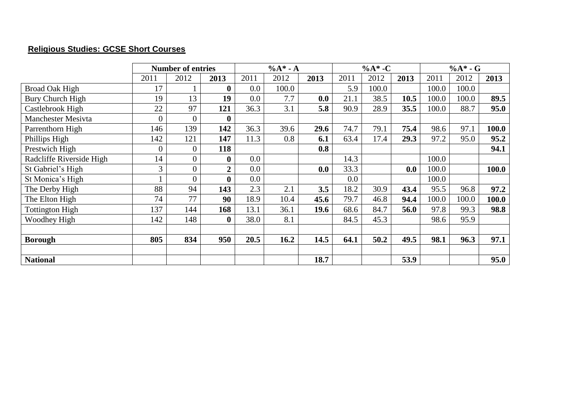## **Religious Studies: GCSE Short Courses**

|                           | <b>Number of entries</b> |                  |          |      | $%A* - A$ |      |      | $%A*$ -C |      | $%A*$ - G |       |       |
|---------------------------|--------------------------|------------------|----------|------|-----------|------|------|----------|------|-----------|-------|-------|
|                           | 2011                     | 2012             | 2013     | 2011 | 2012      | 2013 | 2011 | 2012     | 2013 | 2011      | 2012  | 2013  |
| <b>Broad Oak High</b>     | 17                       |                  | 0        | 0.0  | 100.0     |      | 5.9  | 100.0    |      | 100.0     | 100.0 |       |
| Bury Church High          | 19                       | 13               | 19       | 0.0  | 7.7       | 0.0  | 21.1 | 38.5     | 10.5 | 100.0     | 100.0 | 89.5  |
| Castlebrook High          | 22                       | 97               | 121      | 36.3 | 3.1       | 5.8  | 90.9 | 28.9     | 35.5 | 100.0     | 88.7  | 95.0  |
| <b>Manchester Mesivta</b> | $\theta$                 | $\theta$         |          |      |           |      |      |          |      |           |       |       |
| Parrenthorn High          | 146                      | 139              | 142      | 36.3 | 39.6      | 29.6 | 74.7 | 79.1     | 75.4 | 98.6      | 97.1  | 100.0 |
| Phillips High             | 142                      | 121              | 147      | 11.3 | 0.8       | 6.1  | 63.4 | 17.4     | 29.3 | 97.2      | 95.0  | 95.2  |
| Prestwich High            | $\overline{0}$           | $\overline{0}$   | 118      |      |           | 0.8  |      |          |      |           |       | 94.1  |
| Radcliffe Riverside High  | 14                       | $\overline{0}$   | $\bf{0}$ | 0.0  |           |      | 14.3 |          |      | 100.0     |       |       |
| St Gabriel's High         | 3                        | $\boldsymbol{0}$ | 2        | 0.0  |           | 0.0  | 33.3 |          | 0.0  | 100.0     |       | 100.0 |
| St Monica's High          |                          | $\overline{0}$   |          | 0.0  |           |      | 0.0  |          |      | 100.0     |       |       |
| The Derby High            | 88                       | 94               | 143      | 2.3  | 2.1       | 3.5  | 18.2 | 30.9     | 43.4 | 95.5      | 96.8  | 97.2  |
| The Elton High            | 74                       | 77               | 90       | 18.9 | 10.4      | 45.6 | 79.7 | 46.8     | 94.4 | 100.0     | 100.0 | 100.0 |
| <b>Tottington High</b>    | 137                      | 144              | 168      | 13.1 | 36.1      | 19.6 | 68.6 | 84.7     | 56.0 | 97.8      | 99.3  | 98.8  |
| Woodhey High              | 142                      | 148              | $\bf{0}$ | 38.0 | 8.1       |      | 84.5 | 45.3     |      | 98.6      | 95.9  |       |
|                           |                          |                  |          |      |           |      |      |          |      |           |       |       |
| <b>Borough</b>            | 805                      | 834              | 950      | 20.5 | 16.2      | 14.5 | 64.1 | 50.2     | 49.5 | 98.1      | 96.3  | 97.1  |
|                           |                          |                  |          |      |           |      |      |          |      |           |       |       |
| <b>National</b>           |                          |                  |          |      |           | 18.7 |      |          | 53.9 |           |       | 95.0  |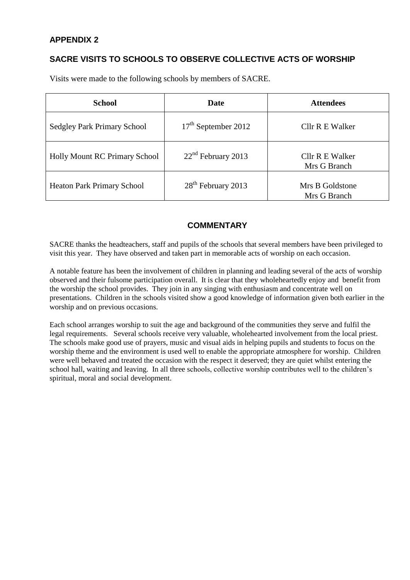## **APPENDIX 2**

## **SACRE VISITS TO SCHOOLS TO OBSERVE COLLECTIVE ACTS OF WORSHIP**

Visits were made to the following schools by members of SACRE.

| <b>School</b>                        | <b>Date</b>                    | <b>Attendees</b>                |  |  |  |  |  |
|--------------------------------------|--------------------------------|---------------------------------|--|--|--|--|--|
| <b>Sedgley Park Primary School</b>   | $17th$ September 2012          | Cllr R E Walker                 |  |  |  |  |  |
| <b>Holly Mount RC Primary School</b> | $22nd$ February 2013           | Cllr R E Walker<br>Mrs G Branch |  |  |  |  |  |
| <b>Heaton Park Primary School</b>    | 28 <sup>th</sup> February 2013 | Mrs B Goldstone<br>Mrs G Branch |  |  |  |  |  |

## **COMMENTARY**

SACRE thanks the headteachers, staff and pupils of the schools that several members have been privileged to visit this year. They have observed and taken part in memorable acts of worship on each occasion.

A notable feature has been the involvement of children in planning and leading several of the acts of worship observed and their fulsome participation overall. It is clear that they wholeheartedly enjoy and benefit from the worship the school provides. They join in any singing with enthusiasm and concentrate well on presentations. Children in the schools visited show a good knowledge of information given both earlier in the worship and on previous occasions.

Each school arranges worship to suit the age and background of the communities they serve and fulfil the legal requirements. Several schools receive very valuable, wholehearted involvement from the local priest. The schools make good use of prayers, music and visual aids in helping pupils and students to focus on the worship theme and the environment is used well to enable the appropriate atmosphere for worship. Children were well behaved and treated the occasion with the respect it deserved; they are quiet whilst entering the school hall, waiting and leaving. In all three schools, collective worship contributes well to the children's spiritual, moral and social development.